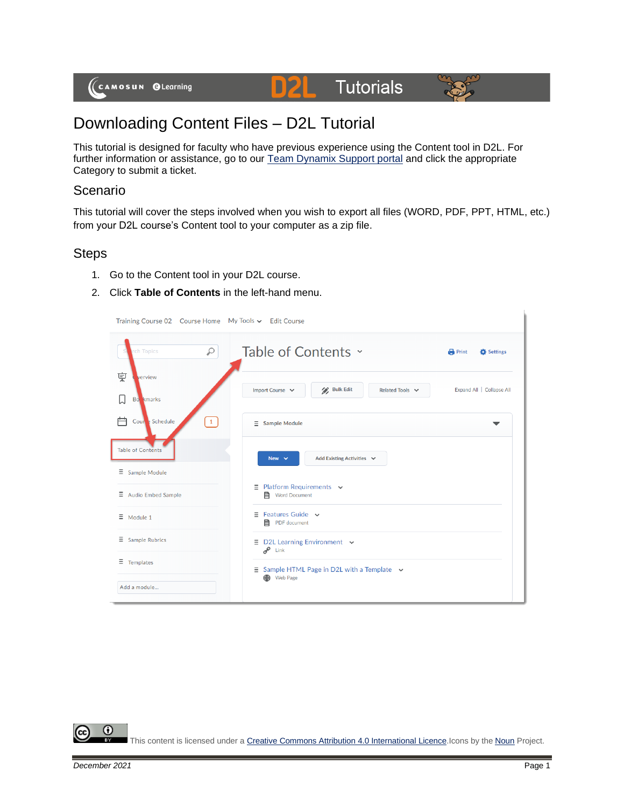

# **Tutorials**



## Downloading Content Files – D2L Tutorial

This tutorial is designed for faculty who have previous experience using the Content tool in D2L. For further information or assistance, go to our **Team Dynamix Support portal** and click the appropriate Category to submit a ticket.

D

#### Scenario

This tutorial will cover the steps involved when you wish to export all files (WORD, PDF, PPT, HTML, etc.) from your D2L course's Content tool to your computer as a zip file.

### **Steps**

- 1. Go to the Content tool in your D2L course.
- 2. Click **Table of Contents** in the left-hand menu.

| Training Course 02 Course Home My Tools v Edit Course |                                                                                     |  |  |
|-------------------------------------------------------|-------------------------------------------------------------------------------------|--|--|
| Q<br>rch Topics                                       | Table of Contents ~<br><b>Print</b><br>Settings                                     |  |  |
| 稟<br>verview                                          | / Bulk Edit<br>Import Course v<br>Expand All   Collapse All<br>Related Tools $\sim$ |  |  |
| L<br><b>Bo</b> kmarks                                 |                                                                                     |  |  |
| 户<br>$\mathbf{1}$<br>Courte Schedule                  | $\equiv$ Sample Module<br>▼                                                         |  |  |
| <b>Table of Contents</b>                              | Add Existing Activities $\sim$<br>New $\sim$                                        |  |  |
| $\equiv$ Sample Module                                |                                                                                     |  |  |
| $\equiv$ Audio Embed Sample                           | $\equiv$ Platform Requirements $\sim$<br><b>目</b> Word Document                     |  |  |
| $\equiv$<br>Module 1                                  | $\equiv$ Features Guide $\sim$<br>目 PDF document                                    |  |  |
| Ξ.<br><b>Sample Rubrics</b>                           | $\equiv$ D2L Learning Environment $\sim$<br>$e^{\theta}$ Link                       |  |  |
| Ξ<br>Templates                                        | $\equiv$ Sample HTML Page in D2L with a Template $\sim$<br><b>OD</b> Web Page       |  |  |
| Add a module                                          |                                                                                     |  |  |

⋒

This content is licensed under [a Creative Commons Attribution 4.0 International Licence.I](https://creativecommons.org/licenses/by/4.0/)cons by the [Noun](https://creativecommons.org/website-icons/) Project.